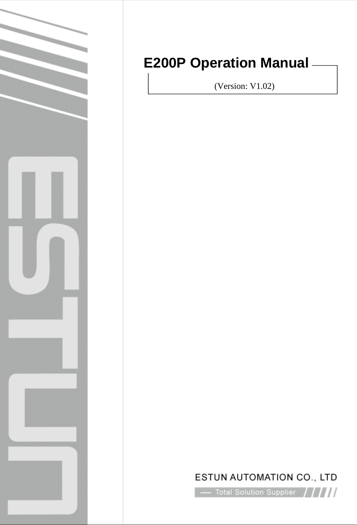

# **E200P Operation Manual**

(Version: V1.02)

## ESTUN AUTOMATION CO., LTD

 $\sim$  Total Solution Supplier  $\left\vert \left\langle \right\vert I_{l}\right\vert$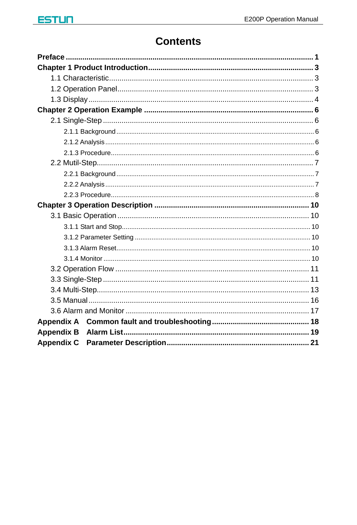## **Contents**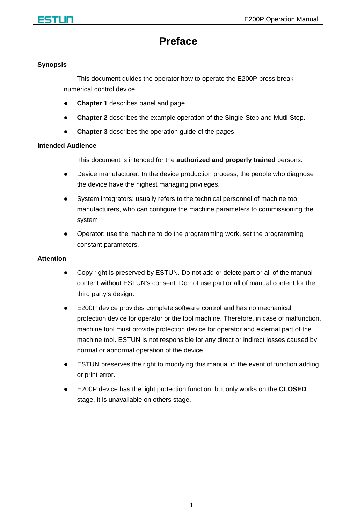<span id="page-2-0"></span>

## **Preface**

#### **Synopsis**

This document guides the operator how to operate the E200P press break numerical control device.

- **Chapter 1** describes panel and page.
- **Chapter 2** describes the example operation of the Single-Step and Mutil-Step.
- **Chapter 3** describes the operation quide of the pages.

#### **Intended Audience**

This document is intended for the **authorized and properly trained** persons:

- Device manufacturer: In the device production process, the people who diagnose the device have the highest managing privileges.
- System integrators: usually refers to the technical personnel of machine tool manufacturers, who can configure the machine parameters to commissioning the system.
- Operator: use the machine to do the programming work, set the programming constant parameters.

#### **Attention**

- Copy right is preserved by ESTUN. Do not add or delete part or all of the manual content without ESTUN's consent. Do not use part or all of manual content for the third party's design.
- E200P device provides complete software control and has no mechanical protection device for operator or the tool machine. Therefore, in case of malfunction, machine tool must provide protection device for operator and external part of the machine tool. ESTUN is not responsible for any direct or indirect losses caused by normal or abnormal operation of the device.
- ESTUN preserves the right to modifying this manual in the event of function adding or print error.
- E200P device has the light protection function, but only works on the **CLOSED** stage, it is unavailable on others stage.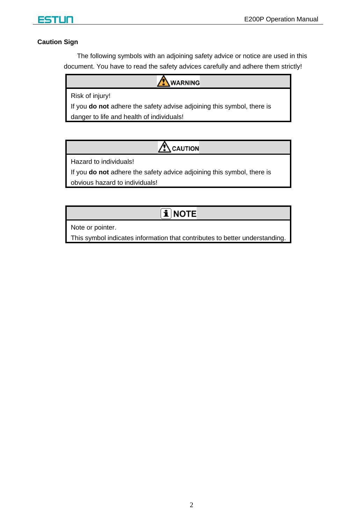

#### **Caution Sign**

The following symbols with an adjoining safety advice or notice are used in this document. You have to read the safety advices carefully and adhere them strictly!

**WARNING** 

Risk of injury!

If you **do not** adhere the safety advise adjoining this symbol, there is danger to life and health of individuals!

> ٨ CAUTION

Hazard to individuals!

If you **do not** adhere the safety advice adjoining this symbol, there is obvious hazard to individuals!

## $\mathbf{\hat{i}}$  note

Note or pointer.

This symbol indicates information that contributes to better understanding.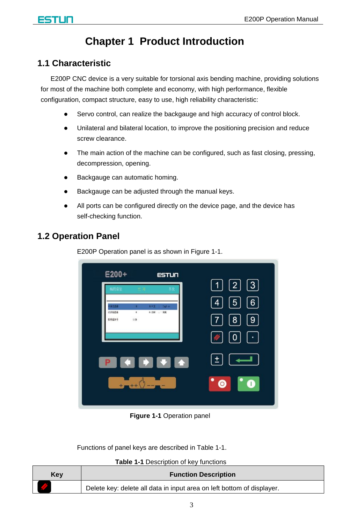## **Chapter 1 Product Introduction**

## <span id="page-4-1"></span><span id="page-4-0"></span>**1.1 Characteristic**

E200P CNC device is a very suitable for torsional axis bending machine, providing solutions for most of the machine both complete and economy, with high performance, flexible configuration, compact structure, easy to use, high reliability characteristic:

- Servo control, can realize the backgauge and high accuracy of control block.
- Unilateral and bilateral location, to improve the positioning precision and reduce screw clearance.
- The main action of the machine can be configured, such as fast closing, pressing, decompression, opening.
- Backgauge can automatic homing.
- Backgauge can be adjusted through the manual keys.
- All ports can be configured directly on the device page, and the device has self-checking function.

## <span id="page-4-2"></span>**1.2 Operation Panel**

E200P Operation panel is as shown in [Figure 1-1.](#page-4-3)

| $E200+$                                  | <b>ESTUN</b>   |                                                                                                       |
|------------------------------------------|----------------|-------------------------------------------------------------------------------------------------------|
| 建捏金量                                     |                | $\begin{bmatrix} 1 \end{bmatrix}$ $\begin{bmatrix} 2 \end{bmatrix}$ $\begin{bmatrix} 3 \end{bmatrix}$ |
| 再交线器<br>新田文                              | <b>Expl</b> in | $\boxed{6}$<br>$\boxed{5}$<br>$\vert 4 \vert$                                                         |
| 公关制选择<br>8:2制 : 第制<br>ä<br>信件部本号<br>1.54 |                | [8]<br>  9  <br>$\lfloor 7 \rfloor$                                                                   |
|                                          |                |                                                                                                       |
|                                          |                | 0 <br>$\sqrt{\frac{2}{T}}$<br>$\mathcal{A}$                                                           |
|                                          |                | iß,                                                                                                   |
|                                          |                |                                                                                                       |
|                                          |                | ٠<br>$\bullet$<br>A                                                                                   |
|                                          |                |                                                                                                       |

**Figure 1-1** Operation panel

<span id="page-4-3"></span>Functions of panel keys are described in [Table 1-1.](#page-4-4)

**Table 1-1** Description of key functions

<span id="page-4-4"></span>

| Kev | <b>Function Description</b>                                            |  |  |
|-----|------------------------------------------------------------------------|--|--|
|     | Delete key: delete all data in input area on left bottom of displayer. |  |  |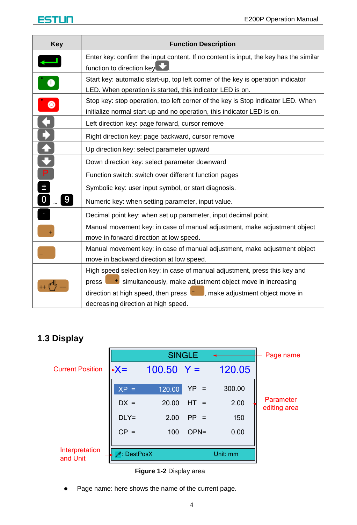| Key                      | <b>Function Description</b>                                                                                                                                                                                                                    |  |  |
|--------------------------|------------------------------------------------------------------------------------------------------------------------------------------------------------------------------------------------------------------------------------------------|--|--|
|                          | Enter key: confirm the input content. If no content is input, the key has the similar<br>function to direction key                                                                                                                             |  |  |
| $\overline{\phantom{a}}$ | Start key: automatic start-up, top left corner of the key is operation indicator<br>LED. When operation is started, this indicator LED is on.                                                                                                  |  |  |
| $\bullet$                | Stop key: stop operation, top left corner of the key is Stop indicator LED. When<br>initialize normal start-up and no operation, this indicator LED is on.                                                                                     |  |  |
|                          | Left direction key: page forward, cursor remove                                                                                                                                                                                                |  |  |
|                          | Right direction key: page backward, cursor remove                                                                                                                                                                                              |  |  |
|                          | Up direction key: select parameter upward                                                                                                                                                                                                      |  |  |
|                          | Down direction key: select parameter downward                                                                                                                                                                                                  |  |  |
| Р                        | Function switch: switch over different function pages                                                                                                                                                                                          |  |  |
| Ŧ                        | Symbolic key: user input symbol, or start diagnosis.                                                                                                                                                                                           |  |  |
| 9                        | Numeric key: when setting parameter, input value.                                                                                                                                                                                              |  |  |
|                          | Decimal point key: when set up parameter, input decimal point.                                                                                                                                                                                 |  |  |
|                          | Manual movement key: in case of manual adjustment, make adjustment object<br>move in forward direction at low speed.                                                                                                                           |  |  |
|                          | Manual movement key: in case of manual adjustment, make adjustment object<br>move in backward direction at low speed.                                                                                                                          |  |  |
|                          | High speed selection key: in case of manual adjustment, press this key and<br>press  <br><sup>+</sup> simultaneously, make adjustment object move in increasing<br>direction at high speed, then press $\Box$ , make adjustment object move in |  |  |
|                          | decreasing direction at high speed.                                                                                                                                                                                                            |  |  |

## <span id="page-5-0"></span>**1.3 Display**

|                            |                   | <b>SINGLE</b> |         |          | Page name                 |
|----------------------------|-------------------|---------------|---------|----------|---------------------------|
| <b>Current Position -</b>  | $\rightarrow X =$ | $100.50 Y =$  |         | 120.05   |                           |
|                            | $XP =$            | 120.00        | $YP =$  | 300.00   |                           |
|                            | $DX =$            | 20.00         | $HT =$  | 2.00     | Parameter<br>editing area |
|                            | $DLY=$            | 2.00          | $PP =$  | 150      |                           |
|                            | $CP =$            | 100           | $OPN =$ | 0.00     |                           |
| Interpretation<br>and Unit | DestPosX          |               |         | Unit: mm |                           |

**Figure 1-2** Display area

• Page name: here shows the name of the current page.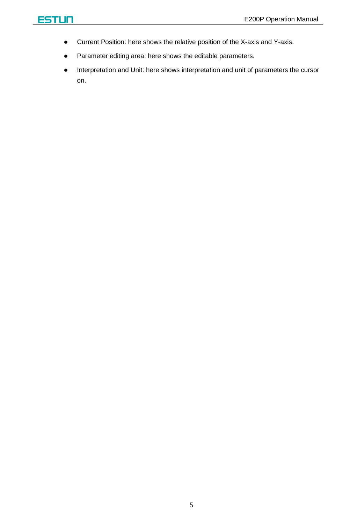- Current Position: here shows the relative position of the X-axis and Y-axis.
- Parameter editing area: here shows the editable parameters.
- Interpretation and Unit: here shows interpretation and unit of parameters the cursor on.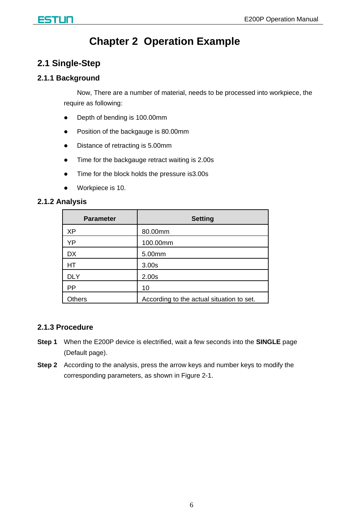## **Chapter 2 Operation Example**

## <span id="page-7-1"></span><span id="page-7-0"></span>**2.1 Single-Step**

### <span id="page-7-2"></span>**2.1.1 Background**

Now, There are a number of material, needs to be processed into workpiece, the require as following:

- Depth of bending is 100.00mm
- Position of the backgauge is 80.00mm
- Distance of retracting is 5.00mm
- Time for the backgauge retract waiting is 2.00s
- Time for the block holds the pressure is 3.00s
- Workpiece is 10.

### <span id="page-7-3"></span>**2.1.2 Analysis**

| <b>Parameter</b> | <b>Setting</b>                            |  |
|------------------|-------------------------------------------|--|
| XP               | 80.00mm                                   |  |
| YP               | 100.00mm                                  |  |
| DX.              | 5.00mm                                    |  |
| <b>HT</b>        | 3.00 <sub>s</sub>                         |  |
| <b>DLY</b>       | 2.00 <sub>s</sub>                         |  |
| <b>PP</b>        | 10                                        |  |
| Others           | According to the actual situation to set. |  |

#### <span id="page-7-4"></span>**2.1.3 Procedure**

- **Step 1** When the E200P device is electrified, wait a few seconds into the **SINGLE** page (Default page).
- **Step 2** According to the analysis, press the arrow keys and number keys to modify the corresponding parameters, as shown in [Figure 2-1.](#page-8-3)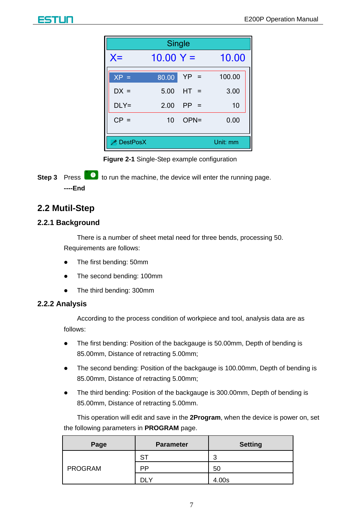|                 | Single      |         |          |  |
|-----------------|-------------|---------|----------|--|
| $X =$           | $10.00 Y =$ |         | 10.00    |  |
| $XP =$          | 80.00       | $YP =$  | 100.00   |  |
| $DX =$          | 5.00        | $HT =$  | 3.00     |  |
| $DLY=$          | 2.00        | $PP =$  | 10       |  |
| $CP =$          | 10          | $OPN =$ | 0.00     |  |
| <b>DestPosX</b> |             |         | Unit: mm |  |

**Figure 2-1** Single-Step example configuration

<span id="page-8-3"></span>**Step 3** Press **to** to run the machine, the device will enter the running page. **----End**

## <span id="page-8-0"></span>**2.2 Mutil-Step**

#### <span id="page-8-1"></span>**2.2.1 Background**

There is a number of sheet metal need for three bends, processing 50. Requirements are follows:

- The first bending: 50mm
- The second bending: 100mm
- The third bending: 300mm

#### <span id="page-8-2"></span>**2.2.2 Analysis**

According to the process condition of workpiece and tool, analysis data are as follows:

- The first bending: Position of the backgauge is 50.00mm, Depth of bending is 85.00mm, Distance of retracting 5.00mm;
- The second bending: Position of the backgauge is 100.00mm, Depth of bending is 85.00mm, Distance of retracting 5.00mm;
- The third bending: Position of the backgauge is 300.00mm, Depth of bending is 85.00mm, Distance of retracting 5.00mm.

This operation will edit and save in the **2Program**, when the device is power on, set the following parameters in **PROGRAM** page.

| Page           | <b>Parameter</b> | <b>Setting</b> |
|----------------|------------------|----------------|
|                | S"               | ີ              |
| <b>PROGRAM</b> | РP               | 50             |
|                | ∨ ור             | 4.00s          |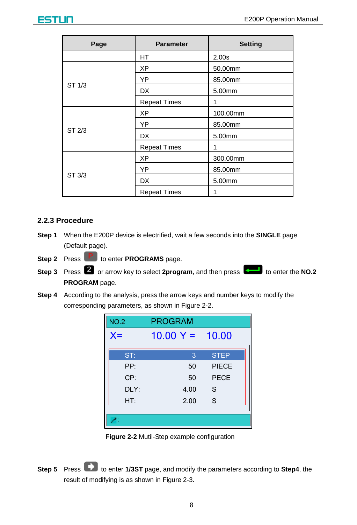

| Page   | <b>Parameter</b>    | <b>Setting</b>    |
|--------|---------------------|-------------------|
|        | HT                  | 2.00 <sub>s</sub> |
|        | ХP                  | 50.00mm           |
|        | YP                  | 85.00mm           |
| ST 1/3 | <b>DX</b>           | 5.00mm            |
|        | <b>Repeat Times</b> | 1                 |
|        | XP                  | 100.00mm          |
|        | YP                  | 85.00mm           |
| ST 2/3 | <b>DX</b>           | 5.00mm            |
|        | <b>Repeat Times</b> | 1                 |
|        | XP                  | 300.00mm          |
|        | YP                  | 85.00mm           |
| ST 3/3 | <b>DX</b>           | 5.00mm            |
|        | <b>Repeat Times</b> |                   |

### <span id="page-9-0"></span>**2.2.3 Procedure**

- **Step 1** When the E200P device is electrified, wait a few seconds into the **SINGLE** page (Default page).
- **Step 2** Press **P** to enter **PROGRAMS** page.
- Step 3 Press 2 or arrow key to select 2program, and then press to enter the NO.2 **PROGRAM** page.
- **Step 4** According to the analysis, press the arrow keys and number keys to modify the corresponding parameters, as shown in [Figure 2-2.](#page-9-1)

| <b>NO.2</b>       | <b>PROGRAM</b>            |             |
|-------------------|---------------------------|-------------|
| $X =$             | $10.00 \text{ Y} = 10.00$ |             |
| ST:               | 3                         | <b>STEP</b> |
| PP:               | 50                        | PIECE       |
| CP:               | 50                        | <b>PECE</b> |
| DI Y <sup>.</sup> | 4.00                      | S           |
| HT:               | 2.00                      | S           |
|                   |                           |             |
|                   |                           |             |

**Figure 2-2** Mutil-Step example configuration

<span id="page-9-2"></span><span id="page-9-1"></span>**Step 5** Press to enter 1/3ST page, and modify the parameters according to Step4, the result of modifying is as shown i[n Figure 2-3.](#page-10-0)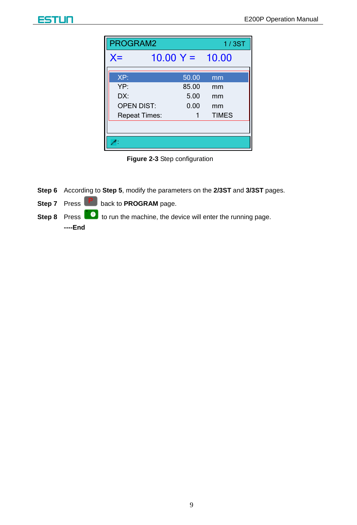| PROGRAM2             |  |                           | 1/3ST        |
|----------------------|--|---------------------------|--------------|
| $X =$                |  | $10.00 \text{ Y} = 10.00$ |              |
| XP:                  |  | 50.00                     | mm           |
| YP:                  |  | 85.00                     | mm           |
| DX:                  |  | 5.00                      | mm           |
| <b>OPEN DIST:</b>    |  | 0.00                      | mm           |
| <b>Repeat Times:</b> |  |                           | <b>TIMES</b> |
|                      |  |                           |              |
|                      |  |                           |              |

**Figure 2-3** Step configuration

- <span id="page-10-0"></span>**Step 6** According to **[Step 5](#page-9-2)**, modify the parameters on the **2/3ST** and **3/3ST** pages.
- **Step 7** Press **P** back to **PROGRAM** page.
- **Step 8** Press **the leadst term** to run the machine, the device will enter the running page. **----End**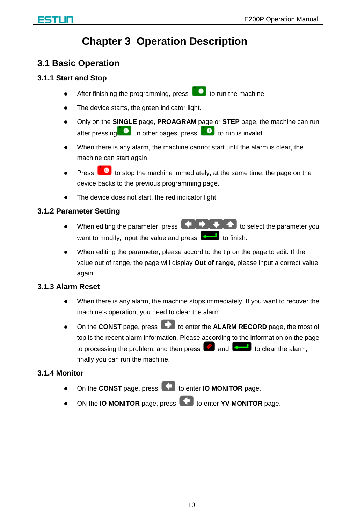## **Chapter 3 Operation Description**

### <span id="page-11-1"></span><span id="page-11-0"></span>**3.1 Basic Operation**

### <span id="page-11-2"></span>**3.1.1 Start and Stop**

- After finishing the programming, press  $\Box$  to run the machine.
- The device starts, the green indicator light.
- Only on the **SINGLE** page, **PROAGRAM** page or **STEP** page, the machine can run after pressing  $\Box$  In other pages, press  $\Box$  to run is invalid.
- When there is any alarm, the machine cannot start until the alarm is clear, the machine can start again.
- Press to stop the machine immediately, at the same time, the page on the device backs to the previous programming page.
- The device does not start, the red indicator light.

### <span id="page-11-3"></span>**3.1.2 Parameter Setting**

- $\bullet$  When editing the parameter, press  $\bigodot$   $\bigodot$   $\bigodot$  to select the parameter you want to modify, input the value and press  $\sim$  to finish.
- When editing the parameter, please accord to the tip on the page to edit. If the value out of range, the page will display **Out of range**, please input a correct value again.

### <span id="page-11-4"></span>**3.1.3 Alarm Reset**

- When there is any alarm, the machine stops immediately. If you want to recover the machine's operation, you need to clear the alarm.
- **•** On the **CONST** page, press **the set of the ALARM RECORD** page, the most of top is the recent alarm information. Please according to the information on the page to processing the problem, and then press  $\Box$  and  $\Box$  to clear the alarm, finally you can run the machine.

### <span id="page-11-5"></span>**3.1.4 Monitor**

- On the **CONST** page, press **that is enter <b>IO MONITOR** page.
- ON the **IO MONITOR** page, press **1** to enter **YV MONITOR** page.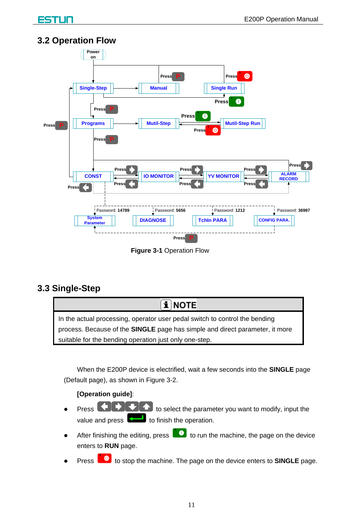## <span id="page-12-0"></span>**3.2 Operation Flow**



**Figure 3-1** Operation Flow

## <span id="page-12-1"></span>**3.3 Single-Step**



When the E200P device is electrified, wait a few seconds into the **SINGLE** page (Default page), as shown in [Figure 3-2.](#page-13-0)

### **[Operation guide]**:

- **Press to select the parameter you want to modify, input the** value and press  $\left[\begin{matrix} 1 \\ 1 \end{matrix}\right]$  to finish the operation.
- After finishing the editing, press  $\Box$  to run the machine, the page on the device enters to **RUN** page.
- Press **the stop the machine.** The page on the device enters to **SINGLE** page.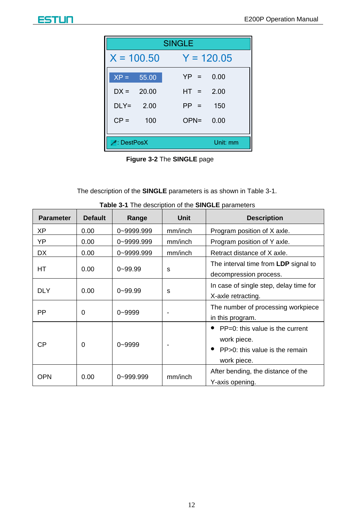| <b>SINGLE</b>               |       |                 |  |
|-----------------------------|-------|-----------------|--|
| $X = 100.50$                |       | $Y = 120.05$    |  |
| $XP =$                      | 55.00 | $YP =$<br>0.00  |  |
| $DX =$                      | 20.00 | $HT =$<br>2.00  |  |
| $DIY=$                      | 2.00  | $PP =$<br>150   |  |
| $CP =$                      | 100   | $OPN =$<br>0.00 |  |
|                             |       |                 |  |
| $\blacktriangle$ : DestPosX |       | Unit: mm        |  |

**Figure 3-2** The **SINGLE** page

<span id="page-13-0"></span>The description of the **SINGLE** parameters is as shown in [Table 3-1.](#page-13-1)

<span id="page-13-1"></span>

| Parameter  | <b>Default</b> | Range       | Unit    | <b>Description</b>                                                                              |
|------------|----------------|-------------|---------|-------------------------------------------------------------------------------------------------|
| XP         | 0.00           | 0~9999.999  | mm/inch | Program position of X axle.                                                                     |
| YP         | 0.00           | 0~9999.999  | mm/inch | Program position of Y axle.                                                                     |
| DX         | 0.00           | 0~9999.999  | mm/inch | Retract distance of X axle.                                                                     |
| НT         | 0.00           | $0 - 99.99$ | S       | The interval time from LDP signal to<br>decompression process.                                  |
| <b>DLY</b> | 0.00           | $0 - 99.99$ | s       | In case of single step, delay time for<br>X-axle retracting.                                    |
| PP         | 0              | $0 - 9999$  |         | The number of processing workpiece<br>in this program.                                          |
| СP         | 0              | $0 - 9999$  |         | PP=0: this value is the current<br>work piece.<br>PP>0: this value is the remain<br>work piece. |
| OPN        | 0.00           | 0~999.999   | mm/inch | After bending, the distance of the<br>Y-axis opening.                                           |

**Table 3-1** The description of the **SINGLE** parameters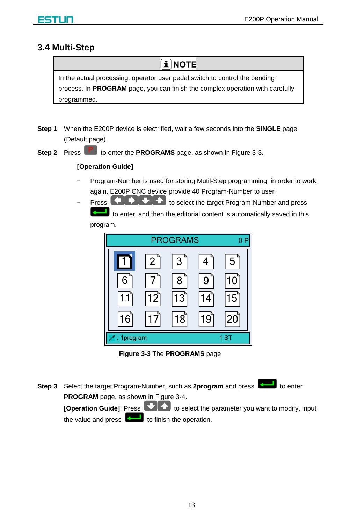### <span id="page-14-0"></span>**3.4 Multi-Step**

**i** NOTE

In the actual processing, operator user pedal switch to control the bending process. In **PROGRAM** page, you can finish the complex operation with carefully programmed.

- **Step 1** When the E200P device is electrified, wait a few seconds into the **SINGLE** page (Default page).
- **Step 2** Press **P** to enter the **PROGRAMS** page, as shown i[n Figure 3-3.](#page-14-1)

#### **[Operation Guide]**

- Program-Number is used for storing Mutil-Step programming, in order to work again. E200P CNC device provide 40 Program-Number to user.
- Press **that is select the target Program-Number and press** to enter, and then the editorial content is automatically saved in this program.



**Figure 3-3** The **PROGRAMS** page

<span id="page-14-1"></span>**Step 3** Select the target Program-Number, such as 2program and press **the study** to enter **PROGRAM** page, as shown i[n Figure 3-4.](#page-15-0) **[Operation Guide]:** Press **that is select the parameter you want to modify, input** the value and press  $\left\lfloor \frac{1}{\sqrt{1-\epsilon}} \right\rfloor$  to finish the operation.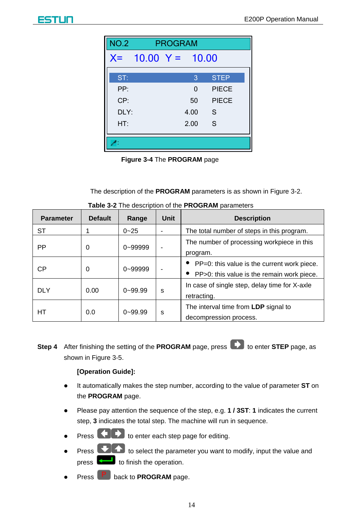| <b>NO.2</b> | <b>PROGRAM</b>          |  |          |             |  |
|-------------|-------------------------|--|----------|-------------|--|
|             | $X = 10.00$ $Y = 10.00$ |  |          |             |  |
| ST:         |                         |  | 3        | <b>STEP</b> |  |
| PP·         |                         |  | $\Omega$ | PIECE       |  |
| CP:         |                         |  | 50       | PIECE       |  |
| DLY:        |                         |  | 4.00     | -S          |  |
| HT:         |                         |  | 2.00     | S           |  |
|             |                         |  |          |             |  |
|             |                         |  |          |             |  |

**Figure 3-4** The **PROGRAM** page

The description of the **PROGRAM** parameters is as shown in [Figure 3-2.](#page-13-0)

<span id="page-15-0"></span>

| <b>Parameter</b> | <b>Default</b> | Range        | Unit                                                              | <b>Description</b>                                                                            |  |
|------------------|----------------|--------------|-------------------------------------------------------------------|-----------------------------------------------------------------------------------------------|--|
| ST               |                | $0 - 25$     |                                                                   | The total number of steps in this program.                                                    |  |
| PP               | 0              | 0~99999      | The number of processing workpiece in this<br>program.            |                                                                                               |  |
| СP               | $\Omega$       | $0 - 999999$ |                                                                   | • PP=0: this value is the current work piece.<br>• PP>0: this value is the remain work piece. |  |
| <b>DLY</b>       | 0.00           | $0 - 99.99$  | In case of single step, delay time for X-axle<br>S<br>retracting. |                                                                                               |  |
| НT               | 0.0            | $0 - 99.99$  | s                                                                 | The interval time from LDP signal to<br>decompression process.                                |  |

**Table 3-2** The description of the **PROGRAM** parameters

**Step 4** After finishing the setting of the **PROGRAM** page, press **than** to enter **STEP** page, as shown in [Figure 3-5.](#page-16-0)

#### **[Operation Guide]:**

- It automatically makes the step number, according to the value of parameter **ST** on the **PROGRAM** page.
- Please pay attention the sequence of the step, e.g. **1 / 3ST**: **1** indicates the current step, **3** indicates the total step. The machine will run in sequence.
- Press **the burnt of the enter each step page for editing.**
- Press **the State of the parameter you want to modify, input the value and**  $\begin{bmatrix} 1 & 1 \\ 1 & 1 \end{bmatrix}$  to finish the operation.
- Press **P** back to **PROGRAM** page.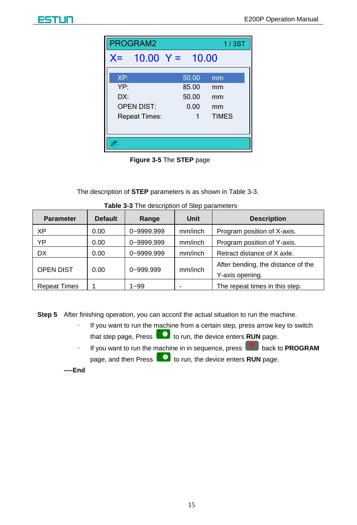| PROGRAM2<br>1/3ST                                              |                                 |                                      |  |  |  |  |
|----------------------------------------------------------------|---------------------------------|--------------------------------------|--|--|--|--|
| $X = 10.00$ $Y = 10.00$                                        |                                 |                                      |  |  |  |  |
| XP:<br>YP:<br>DX:<br><b>OPEN DIST:</b><br><b>Repeat Times:</b> | 50.00<br>85.00<br>50.00<br>0.00 | mm<br>mm<br>mm<br>mm<br><b>TIMES</b> |  |  |  |  |
|                                                                |                                 |                                      |  |  |  |  |



<span id="page-16-0"></span>The description of **STEP** parameters is as shown in [Table 3-3.](#page-16-1)

<span id="page-16-1"></span>

| <b>Parameter</b>    | <b>Default</b> | Range         | Unit                                   | <b>Description</b>                                    |
|---------------------|----------------|---------------|----------------------------------------|-------------------------------------------------------|
| XP                  | 0.00           | 0~9999.999    | mm/inch<br>Program position of X-axis. |                                                       |
| YΡ                  | 0.00           | 0~9999.999    | mm/inch                                | Program position of Y-axis.                           |
| <b>DX</b>           | 0.00           | 0~9999.999    | mm/inch                                | Retract distance of X axle.                           |
| <b>OPEN DIST</b>    | 0.00           | $0 - 999.999$ | mm/inch                                | After bending, the distance of the<br>Y-axis opening. |
| <b>Repeat Times</b> |                | $1 - 99$      |                                        | The repeat times in this step.                        |

**Table 3-3** The description of Step parameters

**Step 5** After finishing operation, you can accord the actual situation to run the machine.

- If you want to run the machine from a certain step, press arrow key to switch

that step page, Press **the run** the device enters **RUN** page.

If you want to run the machine in in sequence, press **P** back to **PROGRAM** page, and then Press **to P** to run, the device enters **RUN** page.

**----End**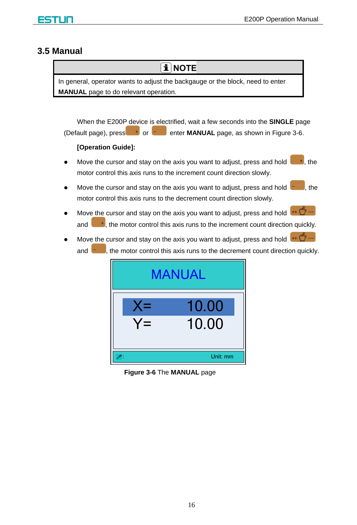### <span id="page-17-0"></span>**3.5 Manual**

## iNOTE

In general, operator wants to adjust the backgauge or the block, need to enter **MANUAL** page to do relevant operation.

When the E200P device is electrified, wait a few seconds into the **SINGLE** page (Default page), press  $\overline{a}$  or  $\overline{b}$  enter **MANUAL** page, as shown in [Figure 3-6.](#page-17-1)

#### **[Operation Guide]:**

- Move the cursor and stay on the axis you want to adjust, press and hold  $\begin{array}{c} \bullet \\ \bullet \end{array}$  the motor control this axis runs to the increment count direction slowly.
- Move the cursor and stay on the axis you want to adjust, press and hold  $\left| \cdot \right|$ , the motor control this axis runs to the decrement count direction slowly.
- Move the cursor and stay on the axis you want to adjust, press and hold  $\mathfrak{t}^+$ and  $\begin{bmatrix} 1 & 1 \\ 1 & 1 \end{bmatrix}$ , the motor control this axis runs to the increment count direction quickly.
- Move the cursor and stay on the axis you want to adjust, press and hold  $+$   $+$ and  $\Box$ , the motor control this axis runs to the decrement count direction quickly.

<span id="page-17-1"></span>

**Figure 3-6** The **MANUAL** page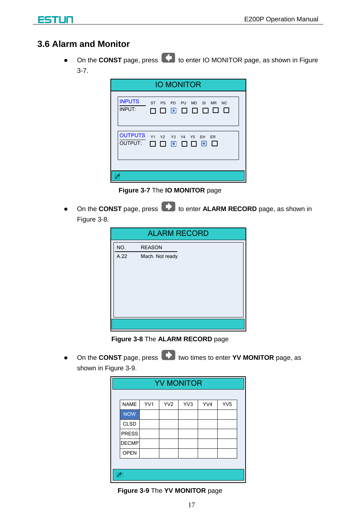## <span id="page-18-0"></span>3.6 Alarm and Monitor

• On the CONST page, press **CD** to enter IO MONITOR page, as shown in Figure  $3-7.$ 

|                           | <b>IO MONITOR</b>                                                                                 |  |  |  |  |  |  |
|---------------------------|---------------------------------------------------------------------------------------------------|--|--|--|--|--|--|
| <b>INPUTS</b><br>INPUT:   | <b>ST</b><br>PS<br>SI MR<br><b>PD</b><br>PU<br><b>MD</b><br><b>NC</b><br>8 8 8 8 8<br>Л<br>П<br>п |  |  |  |  |  |  |
| <b>OUTPUTS</b><br>OUTPUT: | <b>Y1</b><br>Y2 Y3 Y4 Y5<br>EH<br>ER<br>Л<br>o<br>0 O O<br>П<br>п                                 |  |  |  |  |  |  |
|                           |                                                                                                   |  |  |  |  |  |  |

Figure 3-7 The IO MONITOR page

<span id="page-18-1"></span>• On the CONST page, press **CO** to enter **ALARM RECORD** page, as shown in Figure 3-8.

| <b>ALARM RECORD</b> |                 |  |  |  |
|---------------------|-----------------|--|--|--|
| NO.                 | <b>REASON</b>   |  |  |  |
| A.22                | Mach. Not ready |  |  |  |
|                     |                 |  |  |  |
|                     |                 |  |  |  |
|                     |                 |  |  |  |
|                     |                 |  |  |  |
|                     |                 |  |  |  |
|                     |                 |  |  |  |
|                     |                 |  |  |  |

Figure 3-8 The ALARM RECORD page

<span id="page-18-2"></span>• On the CONST page, press **D** two times to enter YV MONITOR page, as shown in Figure 3-9.

| <b>YV MONITOR</b> |     |                 |     |     |                 |  |
|-------------------|-----|-----------------|-----|-----|-----------------|--|
|                   |     |                 |     |     |                 |  |
| <b>NAME</b>       | YV1 | YV <sub>2</sub> | YV3 | YV4 | YV <sub>5</sub> |  |
| <b>NOW</b>        |     |                 |     |     |                 |  |
| <b>CLSD</b>       |     |                 |     |     |                 |  |
| <b>PRESS</b>      |     |                 |     |     |                 |  |
| <b>DECMP</b>      |     |                 |     |     |                 |  |
| <b>OPEN</b>       |     |                 |     |     |                 |  |
|                   |     |                 |     |     |                 |  |
|                   |     |                 |     |     |                 |  |

<span id="page-18-3"></span>Figure 3-9 The YV MONITOR page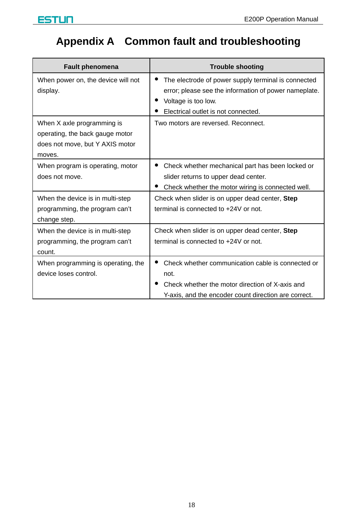

## <span id="page-19-0"></span>**Appendix A Common fault and troubleshooting**

| <b>Fault phenomena</b>                                                                                     | <b>Trouble shooting</b>                                                                                                                                                    |
|------------------------------------------------------------------------------------------------------------|----------------------------------------------------------------------------------------------------------------------------------------------------------------------------|
| When power on, the device will not<br>display.                                                             | The electrode of power supply terminal is connected<br>error; please see the information of power nameplate.<br>Voltage is too low.<br>Electrical outlet is not connected. |
| When X axle programming is<br>operating, the back gauge motor<br>does not move, but Y AXIS motor<br>moves. | Two motors are reversed. Reconnect.                                                                                                                                        |
| When program is operating, motor<br>does not move.                                                         | Check whether mechanical part has been locked or<br>slider returns to upper dead center.<br>Check whether the motor wiring is connected well.                              |
| When the device is in multi-step<br>programming, the program can't<br>change step.                         | Check when slider is on upper dead center, Step<br>terminal is connected to +24V or not.                                                                                   |
| When the device is in multi-step<br>programming, the program can't<br>count.                               | Check when slider is on upper dead center, Step<br>terminal is connected to +24V or not.                                                                                   |
| When programming is operating, the<br>device loses control.                                                | Check whether communication cable is connected or<br>not.<br>Check whether the motor direction of X-axis and<br>Y-axis, and the encoder count direction are correct.       |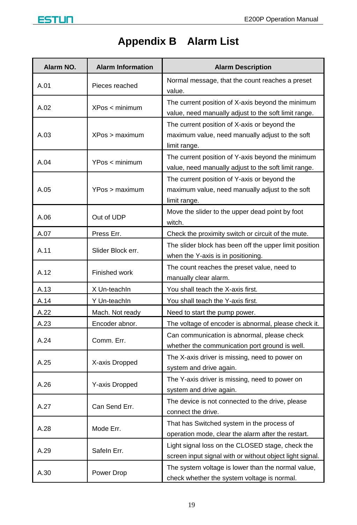<span id="page-20-0"></span>

# **Appendix B Alarm List**

| Alarm NO. | <b>Alarm Information</b> | <b>Alarm Description</b>                                                                                        |  |  |
|-----------|--------------------------|-----------------------------------------------------------------------------------------------------------------|--|--|
| A.01      | Pieces reached           | Normal message, that the count reaches a preset<br>value.                                                       |  |  |
| A.02      | XPos < minimum           | The current position of X-axis beyond the minimum<br>value, need manually adjust to the soft limit range.       |  |  |
| A.03      | XPos > maximum           | The current position of X-axis or beyond the<br>maximum value, need manually adjust to the soft<br>limit range. |  |  |
| A.04      | YPos < minimum           | The current position of Y-axis beyond the minimum<br>value, need manually adjust to the soft limit range.       |  |  |
| A.05      | YPos > maximum           | The current position of Y-axis or beyond the<br>maximum value, need manually adjust to the soft<br>limit range. |  |  |
| A.06      | Out of UDP               | Move the slider to the upper dead point by foot<br>witch.                                                       |  |  |
| A.07      | Press Err.               | Check the proximity switch or circuit of the mute.                                                              |  |  |
| A.11      | Slider Block err.        | The slider block has been off the upper limit position<br>when the Y-axis is in positioning.                    |  |  |
| A.12      | Finished work            | The count reaches the preset value, need to<br>manually clear alarm.                                            |  |  |
| A.13      | X Un-teachIn             | You shall teach the X-axis first.                                                                               |  |  |
| A.14      | Y Un-teachIn             | You shall teach the Y-axis first.                                                                               |  |  |
| A.22      | Mach. Not ready          | Need to start the pump power.                                                                                   |  |  |
| A.23      | Encoder abnor.           | The voltage of encoder is abnormal, please check it.                                                            |  |  |
| A.24      | Comm. Err.               | Can communication is abnormal, please check<br>whether the communication port ground is well.                   |  |  |
| A.25      | X-axis Dropped           | The X-axis driver is missing, need to power on<br>system and drive again.                                       |  |  |
| A.26      | Y-axis Dropped           | The Y-axis driver is missing, need to power on<br>system and drive again.                                       |  |  |
| A.27      | Can Send Err.            | The device is not connected to the drive, please<br>connect the drive.                                          |  |  |
| A.28      | Mode Err.                | That has Switched system in the process of<br>operation mode, clear the alarm after the restart.                |  |  |
| A.29      | Safeln Err.              | Light signal loss on the CLOSED stage, check the<br>screen input signal with or without object light signal.    |  |  |
| A.30      | Power Drop               | The system voltage is lower than the normal value,<br>check whether the system voltage is normal.               |  |  |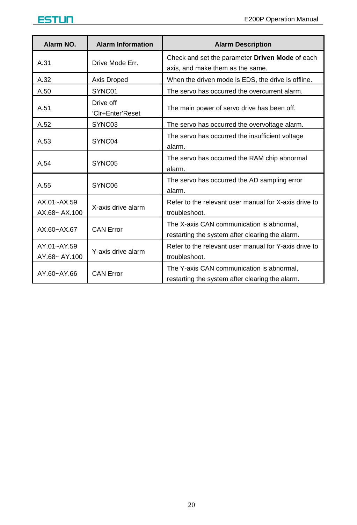| Alarm NO.                        | <b>Alarm Information</b>      | <b>Alarm Description</b>                                                                     |  |  |
|----------------------------------|-------------------------------|----------------------------------------------------------------------------------------------|--|--|
| A.31                             | Drive Mode Err.               | Check and set the parameter Driven Mode of each<br>axis, and make them as the same.          |  |  |
| A.32                             | Axis Droped                   | When the driven mode is EDS, the drive is offline.                                           |  |  |
| A.50                             | SYNC01                        | The servo has occurred the overcurrent alarm.                                                |  |  |
| A.51                             | Drive off<br>'Clr+Enter'Reset | The main power of servo drive has been off.                                                  |  |  |
| A.52                             | SYNC03                        | The servo has occurred the overvoltage alarm.                                                |  |  |
| A.53                             | SYNC04                        | The servo has occurred the insufficient voltage<br>alarm.                                    |  |  |
| A.54                             | SYNC05                        | The servo has occurred the RAM chip abnormal<br>alarm.                                       |  |  |
| A.55                             | SYNC06                        | The servo has occurred the AD sampling error<br>alarm.                                       |  |  |
| $AX.01 - AX.59$<br>AX.68~ AX.100 | X-axis drive alarm            | Refer to the relevant user manual for X-axis drive to<br>troubleshoot.                       |  |  |
| $AX.60 - AX.67$                  | <b>CAN Error</b>              | The X-axis CAN communication is abnormal,<br>restarting the system after clearing the alarm. |  |  |
| AY.01~AY.59<br>AY.68~ AY.100     | Y-axis drive alarm            | Refer to the relevant user manual for Y-axis drive to<br>troubleshoot.                       |  |  |
| AY.60~AY.66                      | <b>CAN Error</b>              | The Y-axis CAN communication is abnormal,<br>restarting the system after clearing the alarm. |  |  |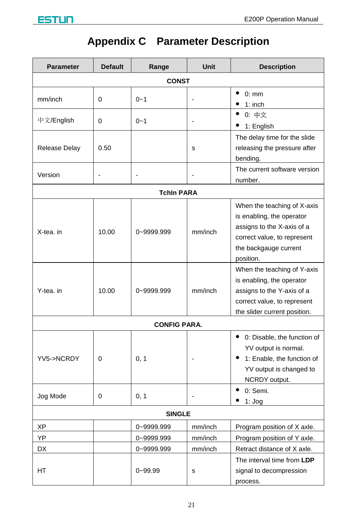<span id="page-22-0"></span>

# **Appendix C Parameter Description**

| <b>Parameter</b> | <b>Default</b><br>Unit<br>Range |                     | <b>Description</b> |                                                                                                                                                             |  |  |  |  |
|------------------|---------------------------------|---------------------|--------------------|-------------------------------------------------------------------------------------------------------------------------------------------------------------|--|--|--|--|
|                  | <b>CONST</b>                    |                     |                    |                                                                                                                                                             |  |  |  |  |
| mm/inch          | $\Omega$                        | $0 - 1$             | $\overline{a}$     | $\bullet$<br>0:mm<br>٠<br>$1:$ inch                                                                                                                         |  |  |  |  |
| 中文/English       | 0                               | $0 - 1$             | $\overline{a}$     | • 0: 中文<br>$\bullet$ 1: English                                                                                                                             |  |  |  |  |
| Release Delay    | 0.50                            |                     | s                  | The delay time for the slide<br>releasing the pressure after<br>bending.                                                                                    |  |  |  |  |
| Version          | $\overline{a}$                  |                     | $\overline{a}$     | The current software version<br>number.                                                                                                                     |  |  |  |  |
|                  |                                 | <b>Tchin PARA</b>   |                    |                                                                                                                                                             |  |  |  |  |
| X-tea. in        | 10.00                           | 0~9999.999          | mm/inch            | When the teaching of X-axis<br>is enabling, the operator<br>assigns to the X-axis of a<br>correct value, to represent<br>the backgauge current<br>position. |  |  |  |  |
| Y-tea. in        | 10.00                           | 0~9999.999          | mm/inch            | When the teaching of Y-axis<br>is enabling, the operator<br>assigns to the Y-axis of a<br>correct value, to represent<br>the slider current position.       |  |  |  |  |
|                  |                                 | <b>CONFIG PARA.</b> |                    |                                                                                                                                                             |  |  |  |  |
| YV5->NCRDY       | 0                               | 0, 1                |                    | • 0: Disable, the function of<br>YV output is normal.<br>• 1: Enable, the function of<br>YV output is changed to<br>NCRDY output.                           |  |  |  |  |
| Jog Mode         | $\Omega$                        | 0, 1                | $\overline{a}$     | $\bullet$<br>0: Semi.<br>$1:$ Jog                                                                                                                           |  |  |  |  |
|                  |                                 | <b>SINGLE</b>       |                    |                                                                                                                                                             |  |  |  |  |
| ΧP               |                                 | 0~9999.999          | mm/inch            | Program position of X axle.                                                                                                                                 |  |  |  |  |
| YP               |                                 | 0~9999.999          | mm/inch            | Program position of Y axle.                                                                                                                                 |  |  |  |  |
| DX               |                                 | 0~9999.999          | mm/inch            | Retract distance of X axle.                                                                                                                                 |  |  |  |  |
| НT               |                                 | $0 - 99.99$         | s                  | The interval time from LDP<br>signal to decompression<br>process.                                                                                           |  |  |  |  |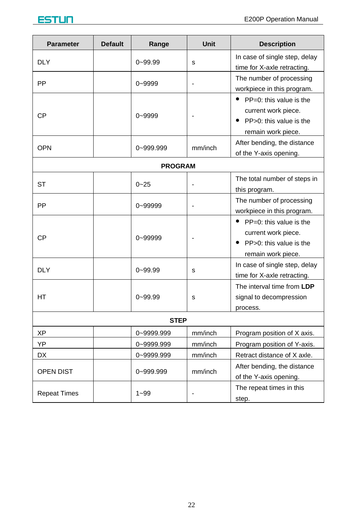| <b>Parameter</b>    | <b>Default</b> | Range       | <b>Unit</b> | <b>Description</b>                                                                                        |
|---------------------|----------------|-------------|-------------|-----------------------------------------------------------------------------------------------------------|
| DLY                 |                | $0 - 99.99$ | s           | In case of single step, delay<br>time for X-axle retracting.                                              |
| PP                  |                | $0 - 9999$  |             | The number of processing<br>workpiece in this program.                                                    |
| СP                  |                | $0 - 9999$  |             | $\bullet$ PP=0: this value is the<br>current work piece.<br>PP>0: this value is the<br>remain work piece. |
| <b>OPN</b>          |                | 0~999.999   | mm/inch     | After bending, the distance<br>of the Y-axis opening.                                                     |
| <b>PROGRAM</b>      |                |             |             |                                                                                                           |
| SТ                  |                | $0 - 25$    |             | The total number of steps in<br>this program.                                                             |
| PP                  |                | 0~99999     |             | The number of processing<br>workpiece in this program.                                                    |
| СP                  |                | 0~99999     |             | $\bullet$ PP=0: this value is the<br>current work piece.<br>PP>0: this value is the<br>remain work piece. |
| <b>DLY</b>          |                | $0 - 99.99$ | s           | In case of single step, delay<br>time for X-axle retracting.                                              |
| НT                  |                | $0 - 99.99$ | s           | The interval time from LDP<br>signal to decompression<br>process.                                         |
| <b>STEP</b>         |                |             |             |                                                                                                           |
| XP                  |                | 0~9999.999  | mm/inch     | Program position of X axis.                                                                               |
| YP                  |                | 0~9999.999  | mm/inch     | Program position of Y-axis.                                                                               |
| DX                  |                | 0~9999.999  | mm/inch     | Retract distance of X axle.                                                                               |
| OPEN DIST           |                | 0~999.999   | mm/inch     | After bending, the distance<br>of the Y-axis opening.                                                     |
| <b>Repeat Times</b> |                | $1 - 99$    |             | The repeat times in this<br>step.                                                                         |